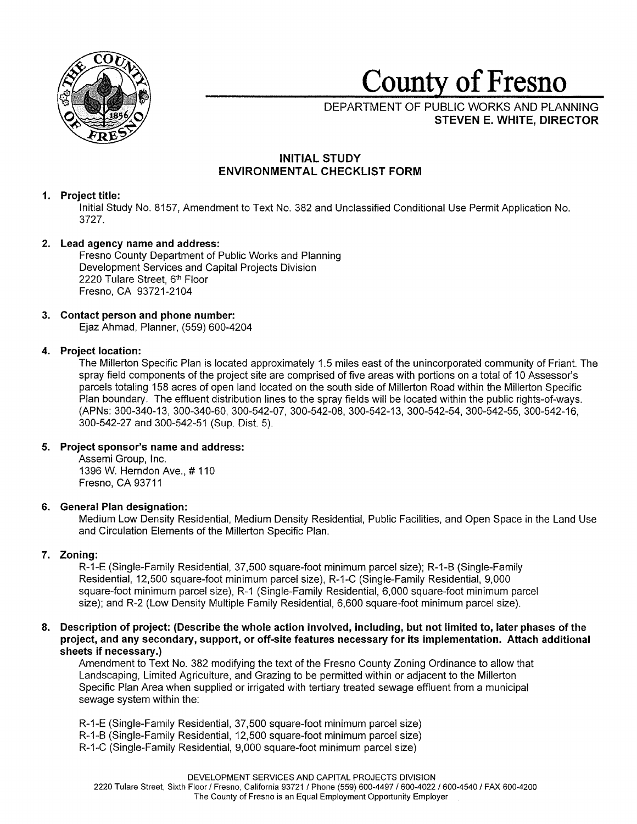

# **County of Fresno**

DEPARTMENT OF PUBLIC WORKS AND PLANNING **STEVEN E. WHITE, DIRECTOR** 

## **INITIAL STUDY ENVIRONMENTAL CHECKLIST FORM**

## **1. Project title:**

Initial Study No. 8157, Amendment to Text No. 382 and Unclassified Conditional Use Permit Application No. 3727.

## **2. Lead agency name and address:**

Fresno County Department of Public Works and Planning Development Services and Capital Projects Division 2220 Tulare Street, 6th Floor Fresno, CA 93721-2104

## **3. Contact person and phone number:**

Ejaz Ahmad, Planner, (559) 600-4204

## **4. Project location:**

The Millerton Specific Plan is located approximately 1.5 miles east of the unincorporated community of Friant. The spray field components of the project site are comprised of five areas with portions on a total of 10 Assessor's parcels totaling 158 acres of open land located on the south side of Millerton Road within the Millerton Specific Plan boundary. The effluent distribution lines to the spray fields will be located within the public rights-of-ways. (APNs: 300-340-13, 300-340-60, 300-542-07, 300-542-08, 300-542-13, 300-542-54, 300-542-55, 300-542-16, 300-542-27 and 300-542-51 (Sup. Dist. 5).

## **5. Project sponsor's name and address:**

Assemi Group, Inc. 1396 W. Herndon Ave., # 110 Fresno, CA 93711

## **6. General Plan designation:**

Medium Low Density Residential, Medium Density Residential, Public Facilities, and Open Space in the Land Use and Circulation Elements of the Millerton Specific Plan.

## **7. Zoning:**

R-1-E (Single-Family Residential, 37,500 square-foot minimum parcel size); R-1-B (Single-Family Residential, 12,500 square-foot minimum parcel size), R-1-C (Single-Family Residential, 9,000 square-foot minimum parcel size), R-1 (Single-Family Residential, 6,000 square-foot minimum parcel size); and R-2 (Low Density Multiple Family Residential, 6,600 square-foot minimum parcel size).

## **8. Description of project: (Describe the whole action involved, including, but not limited to, later phases of the project, and any secondary, support, or off-site features necessary for its implementation. Attach additional sheets if necessary.)**

Amendment to Text No. 382 modifying the text of the Fresno County Zoning Ordinance to allow that Landscaping, Limited Agriculture, and Grazing to be permitted within or adjacent to the Millerton Specific Plan Area when supplied or irrigated with tertiary treated sewage effluent from a municipal sewage system within the:

- R-1-E (Single-Family Residential, 37,500 square-foot minimum parcel size)
- R-1-B (Single-Family Residential, 12,500 square-foot minimum parcel size)
- R-1-C (Single-Family Residential, 9,000 square-foot minimum parcel size)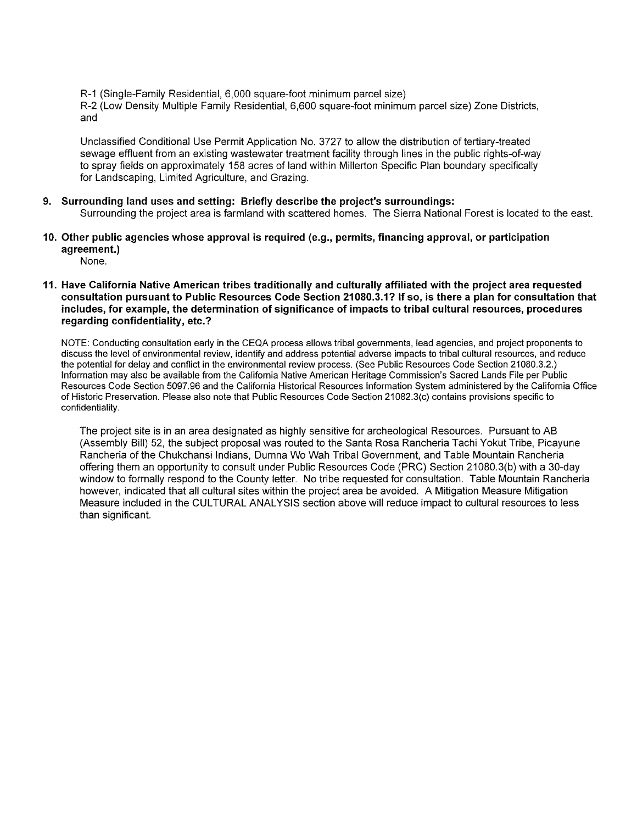R-1 (Single-Family Residential, 6,000 square-foot minimum parcel size) R-2 (Low Density Multiple Family Residential, 6,600 square-foot minimum parcel size) Zone Districts, and

Unclassified Conditional Use Permit Application No. 3727 to allow the distribution of tertiary-treated sewage effluent from an existing wastewater treatment facility through lines in the public rights-of-way to spray fields on approximately 158 acres of land within Millerton Specific Plan boundary specifically for Landscaping, Limited Agriculture, and Grazing.

## **9. Surrounding land uses and setting: Briefly describe the project's surroundings:**

Surrounding the project area is farmland with scattered homes. The Sierra National Forest is located to the east.

**10. Other public agencies whose approval is required (e.g., permits, financing approval, or participation agreement.)** 

None.

**11. Have California Native American tribes traditionally and culturally affiliated with the project area requested consultation pursuant to Public Resources Code Section 21080.3.1? If so, is there a plan for consultation that includes, for example, the determination of significance of impacts to tribal cultural resources, procedures regarding confidentiality, etc.?** 

NOTE: Conducting consultation early in the CEQA process allows tribal governments, lead agencies, and project proponents to discuss the level of environmental review, identify and address potential adverse impacts to tribal cultural resources, and reduce the potential for delay and conflict in the environmental review process. (See Public Resources Code Section 21080.3.2.) Information may also be available from the California Native American Heritage Commission's Sacred Lands File per Public Resources Code Section 5097.96 and the California Historical Resources Information System administered by the California Office of Historic Preservation. Please also note that Public Resources Code Section 21082.3(c) contains provisions specific to confidentiality.

The project site is in an area designated as highly sensitive for archeological Resources. Pursuant to AB (Assembly Bill) 52, the subject proposal was routed to the Santa Rosa Rancheria Tachi Yakut Tribe, Picayune Rancheria of the Chukchansi Indians, Dumna Wo Wah Tribal Government, and Table Mountain Rancheria offering them an opportunity to consult under Public Resources Code (PRC) Section 21080.3(b) with a 30-day window to formally respond to the County letter. No tribe requested for consultation. Table Mountain Rancheria however, indicated that all cultural sites within the project area be avoided. A Mitigation Measure Mitigation Measure included in the CULTURAL ANALYSIS section above will reduce impact to cultural resources to less than significant.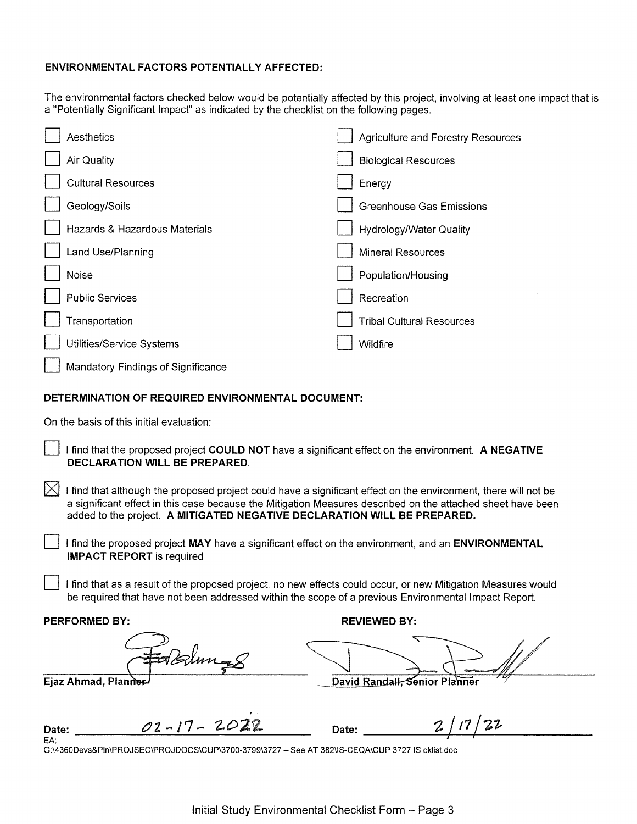## **ENVIRONMENTAL FACTORS POTENTIALLY AFFECTED:**

The environmental factors checked below would be potentially affected by this project, involving at least one impact that is a "Potentially Significant Impact" as indicated by the checklist on the following pages.

| Aesthetics                         | Agriculture and Forestry Resources |
|------------------------------------|------------------------------------|
| Air Quality                        | <b>Biological Resources</b>        |
| <b>Cultural Resources</b>          | Energy                             |
| Geology/Soils                      | <b>Greenhouse Gas Emissions</b>    |
| Hazards & Hazardous Materials      | <b>Hydrology/Water Quality</b>     |
| Land Use/Planning                  | <b>Mineral Resources</b>           |
| Noise                              | Population/Housing                 |
| <b>Public Services</b>             | Recreation                         |
| Transportation                     | <b>Tribal Cultural Resources</b>   |
| Utilities/Service Systems          | Wildfire                           |
| Mandatory Findings of Significance |                                    |
|                                    |                                    |

## **DETERMINATION OF REQUIRED ENVIRONMENTAL DOCUMENT:**

On the basis of this initial evaluation:

D I find that the proposed project **COULD NOT** have a significant effect on the environment. **A NEGATIVE DECLARATION WILL BE PREPARED.** 

I find that although the proposed project could have a significant effect on the environment, there will not be a significant effect in this case because the Mitigation Measures described on the attached sheet have been added to the project. **A MITIGATED NEGATIVE DECLARATION WILL BE PREPARED.** 

I find the proposed project MAY have a significant effect on the environment, and an **ENVIRONMENTAL IMPACT REPORT** is required

I find that as a result of the proposed project, no new effects could occur, or new Mitigation Measures would be required that have not been addressed within the scope of a previous Environmental Impact Report.

**PERFORMED BY: REVIEWED BY: REVIEWED BY:** 

Ejaz Ahmad, Planner

Date:  $O2 - 17 - 2027$ **Date: \_\_\_\_ -Z\_/** *1\_7\_/\_-z\_i. \_\_\_ \_ I I* 

G:\4360Devs&Pln\PROJSEC\PROJDOCS\CUP\3700-3799\3727 - See AT 382\IS-CEQA\CUP 3727 IS cklist.doc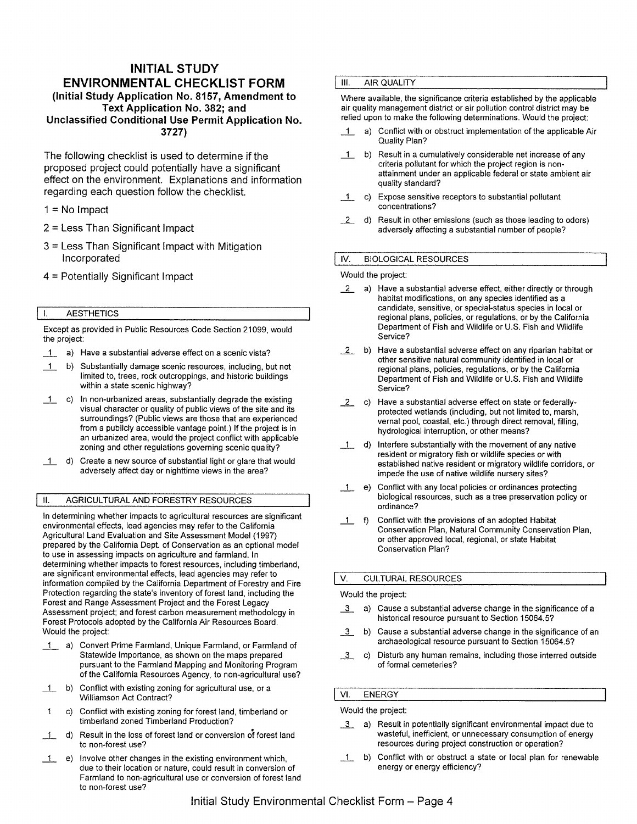## **INITIAL STUDY ENVIRONMENTAL CHECKLIST FORM (Initial Study Application No. 8157, Amendment to Text Application No. 382; and Unclassified Conditional Use Permit Application No. 3727)**

The following checklist is used to determine if the proposed project could potentially have a significant effect on the environment. Explanations and information regarding each question follow the checklist.

- $1 = No$  Impact
- 2 = Less Than Significant Impact
- 3 = Less Than Significant Impact with Mitigation Incorporated
- 4 = Potentially Significant Impact

#### I. AESTHETICS

Except as provided in Public Resources Code Section 21099, would the project:

- 1 a) Have a substantial adverse effect on a scenic vista?
- \_1\_ b) Substantially damage scenic resources, including, but not limited to, trees, rock outcroppings, and historic buildings within a state scenic highway?
- \_1\_ c) In non-urbanized areas, substantially degrade the existing visual character or quality of public views of the site and its surroundings? (Public views are those that are experienced from a publicly accessible vantage point.) If the project is in an urbanized area, would the project conflict with applicable zoning and other regulations governing scenic quality?
- 1 d) Create a new source of substantial light or glare that would adversely affect day or nighttime views in the area?

#### II. AGRICULTURAL AND FORESTRY RESOURCES

In determining whether impacts to agricultural resources are significant environmental effects, lead agencies may refer to the California Agricultural Land Evaluation and Site Assessment Model (1997) prepared by the California Dept. of Conservation as an optional model to use in assessing impacts on agriculture and farmland. In determining whether impacts to forest resources, including timberland, are significant environmental effects, lead agencies may refer to information compiled by the California Department of Forestry and Fire Protection regarding the state's inventory of forest land, including the Forest and Range Assessment Project and the Forest Legacy Assessment project; and forest carbon measurement methodology in Forest Protocols adopted by the California Air Resources Board. Would the project:

- 1 a) Convert Prime Farmland, Unique Farmland, or Farmland of Statewide Importance, as shown on the maps prepared pursuant to the Farmland Mapping and Monitoring Program of the California Resources Agency, to non-agricultural use?
- \_1\_ b) Conflict with existing zoning for agricultural use, or a Williamson Act Contract?
- c) Conflict with existing zoning for forest land, timberland or 1 timberland zoned Timberland Production?
- 1 d) Result in the loss of forest land or conversion of forest land to non-forest use?
- \_1\_ e) Involve other changes in the existing environment which, due to their location or nature, could result in conversion of Farmland to non-agricultural use or conversion of forest land to non-forest use?

#### Ill. AIR QUALITY

Where available, the significance criteria established by the applicable air quality management district or air pollution control district may be relied upon to make the following determinations. Would the project:

- 1 a) Conflict with or obstruct implementation of the applicable Air Quality Plan?
- \_1\_ b) Result in a cumulatively considerable net increase of any criteria pollutant for which the project region is nonattainment under an applicable federal or state ambient air quality standard?
- $1$  c) Expose sensitive receptors to substantial pollutant concentrations?
- *\_L* d) Result in other emissions (such as those leading to odors) adversely affecting a substantial number of people?

#### IV. BIOLOGICAL RESOURCES

#### Would the project:

- *\_L* a) Have a substantial adverse effect, either directly or through habitat modifications, on any species identified as a candidate, sensitive, or special-status species in local or regional plans, policies, or regulations, or by the California Department of Fish and Wildlife or U.S. Fish and Wildlife Service?
- *\_L* b) Have a substantial adverse effect on any riparian habitat or other sensitive natural community identified in local or regional plans, policies, regulations, or by the California Department of Fish and Wildlife or U.S. Fish and Wildlife Service?
- *\_L* c) Have a substantial adverse effect on state or federallyprotected wetlands (including, but not limited to, marsh, vernal pool, coastal, etc.) through direct removal, filling, hydrological interruption, or other means?
- 1 d) Interfere substantially with the movement of any native resident or migratory fish or wildlife species or with established native resident or migratory wildlife corridors, or impede the use of native wildlife nursery sites?
- \_1\_ e) Conflict with any local policies or ordinances protecting biological resources, such as a tree preservation policy or ordinance?
- 1 f) Conflict with the provisions of an adopted Habitat Conservation Plan, Natural Community Conservation Plan, or other approved local, regional, or state Habitat Conservation Plan?

#### V. CULTURAL RESOURCES

#### Would the project:

- $\overline{3}$  a) Cause a substantial adverse change in the significance of a historical resource pursuant to Section 15064.5?
- $\overline{3}$  b) Cause a substantial adverse change in the significance of an archaeological resource pursuant to Section 15064.5?
- 2. c) Disturb any human remains, including those interred outside of formal cemeteries?

## VI. ENERGY

## Would the project:

- 1.2. a) Result in potentially significant environmental impact due to wasteful, inefficient, or unnecessary consumption of energy resources during project construction or operation?
- 1 b) Conflict with or obstruct a state or local plan for renewable energy or energy efficiency?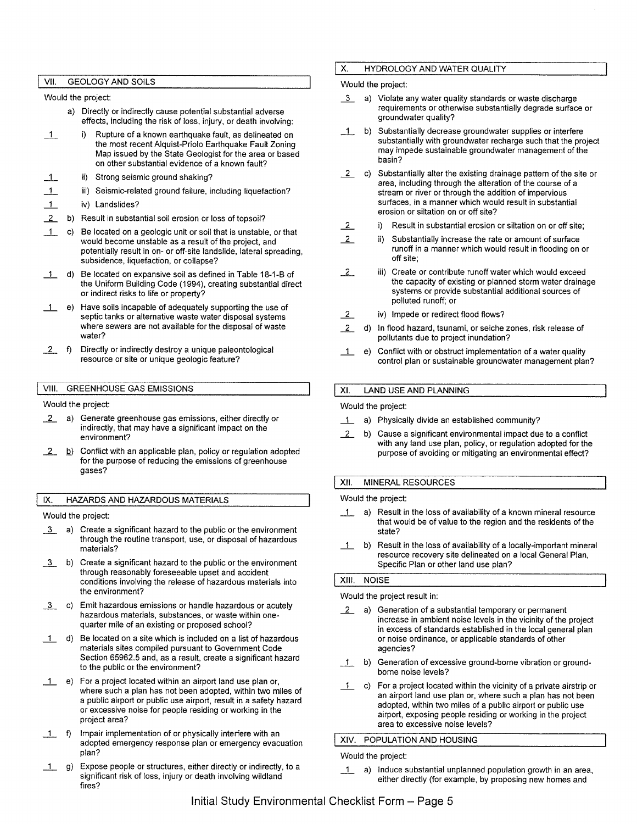#### VII. GEOLOGY AND SOILS

#### Would the project:

- a) Directly or indirectly cause potential substantial adverse effects, including the risk of loss, injury, or death involving:
- 1 i) Rupture of a known earthquake fault, as delineated on the most recent Alquist-Priolo Earthquake Fault Zoning Map issued by the State Geologist for the area or based on other substantial evidence of a known fault?
- $\perp$ ii) Strong seismic ground shaking?
- $\overline{1}$ iii) Seismic-related ground failure, including liquefaction?
- $\overline{1}$ iv) Landslides?
- 12. b) Result in substantial soil erosion or loss of topsoil?
- \_1\_ c) Be located on a geologic unit or soil that is unstable, or that would become unstable as a result of the project, and potentially result in on- or off-site landslide, lateral spreading, subsidence, liquefaction, or collapse?
- \_1\_ d) Be located on expansive soil as defined in Table 18-1-B of the Uniform Building Code (1994), creating substantial direct or indirect risks to life or property?
- \_1\_ e) Have soils incapable of adequately supporting the use of septic tanks or alternative waste water disposal systems where sewers are not available for the disposal of waste water?
- 12. f) Directly or indirectly destroy a unique paleontological resource or site or unique geologic feature?

#### VIII. GREENHOUSE GAS EMISSIONS

Would the project:

- 2. a) Generate greenhouse gas emissions, either directly or indirectly, that may have a significant impact on the environment?
- **2.** b) Conflict with an applicable plan, policy or regulation adopted for the purpose of reducing the emissions of greenhouse gases?

IX. HAZARDS AND HAZARDOUS MATERIALS

#### Would the project:

- *i* a) Create a significant hazard to the public or the environment through the routine transport, use, or disposal of hazardous materials?
- $\overline{3}$  b) Create a significant hazard to the public or the environment through reasonably foreseeable upset and accident conditions involving the release of hazardous materials into the environment?
- $\overline{3}$  c) Emit hazardous emissions or handle hazardous or acutely hazardous materials, substances, or waste within onequarter mile of an existing or proposed school?
- 1 d) Be located on a site which is included on a list of hazardous materials sites compiled pursuant to Government Code Section 65962.5 and, as a result, create a significant hazard to the public or the environment?
- 1 e) For a project located within an airport land use plan or, where such a plan has not been adopted, within two miles of a public airport or public use airport, result in a safety hazard or excessive noise for people residing or working in the project area?
- \_1\_ f) Impair implementation of or physically interfere with an adopted emergency response plan or emergency evacuation plan?
- 1 g) Expose people or structures, either directly or indirectly, to a significant risk of loss, injury or death involving wildland fires?

#### X. HYDROLOGY AND WATER QUALITY

#### Would the project:

- **3** a) Violate any water quality standards or waste discharge requirements or otherwise substantially degrade surface or groundwater quality?
- 1 b) Substantially decrease groundwater supplies or interfere substantially with groundwater recharge such that the project may impede sustainable groundwater management of the basin?
- 2. c) Substantially alter the existing drainage pattern of the site or area, including through the alteration of the course of a stream or river or through the addition of impervious surfaces, in a manner which would result in substantial erosion or siltation on or off site?
- i) Result in substantial erosion or siltation on or off site;  $\overline{2}$
- ii) Substantially increase the rate or amount of surface  $\overline{2}$ runoff in a manner which would result in flooding on or off site;
- 2.<sup>2</sup> iii) Create or contribute runoff water which would exceed the capacity of existing or planned storm water drainage systems or provide substantial additional sources of polluted runoff; or
- 2 *iv*) Impede or redirect flood flows?
- 2. d) In flood hazard, tsunami, or seiche zones, risk release of pollutants due to project inundation?
- \_1\_ e) Conflict with or obstruct implementation of a water quality control plan or sustainable groundwater management plan?

#### XI. LAND USE AND PLANNING

#### Would the project:

- \_1\_ a) Physically divide an established community?
- **2.** b) Cause a significant environmental impact due to a conflict with any land use plan, policy, or regulation adopted for the purpose of avoiding or mitigating an environmental effect?

#### XII. MINERAL RESOURCES

#### Would the project:

- $1$  a) Result in the loss of availability of a known mineral resource that would be of value to the region and the residents of the state?
- \_1\_ b) Result in the loss of availability of a locally-important mineral resource recovery site delineated on a local General Plan, Specific Plan or other land use plan?

#### **XIII.** NOISE

#### Would the project result in:

- **2.** a) Generation of a substantial temporary or permanent increase in ambient noise levels in the vicinity of the project in excess of standards established in the local general plan or noise ordinance, or applicable standards of other agencies?
- \_1\_ b) Generation of excessive ground-borne vibration or groundborne noise levels?
- $1$  c) For a project located within the vicinity of a private airstrip or an airport land use plan or, where such a plan has not been adopted, within two miles of a public airport or public use airport, exposing people residing or working in the project area to excessive noise levels?

#### XIV. POPULATION AND HOUSING

Would the project:

\_1\_ a) Induce substantial unplanned population growth in an area, either directly (for example, by proposing new homes and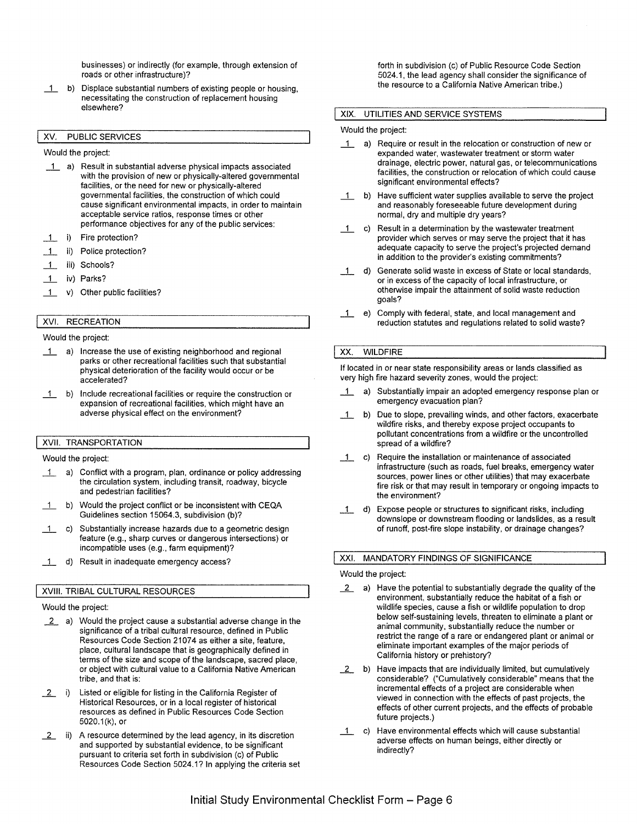businesses) or indirectly (for example, through extension of roads or other infrastructure)?

\_1\_ b) Displace substantial numbers of existing people or housing, necessitating the construction of replacement housing elsewhere?

#### XV. PUBLIC SERVICES

Would the project:

- \_1\_ a) Result in substantial adverse physical impacts associated with the provision of new or physically-altered governmental facilities, or the need for new or physically-altered governmental facilities, the construction of which could cause significant environmental impacts, in order to maintain acceptable service ratios, response times or other performance objectives for any of the public services:
- 1 i) Fire protection?
- \_1\_ ii) Police protection?
- 1\_ iii) Schools?
- \_1\_ iv) Parks?
- 1 v) Other public facilities?

#### XVI. RECREATION

#### Would the project:

- 1 a) Increase the use of existing neighborhood and regional parks or other recreational facilities such that substantial physical deterioration of the facility would occur or be accelerated?
- $\overline{1}$  b) Include recreational facilities or require the construction or expansion of recreational facilities, which might have an adverse physical effect on the environment?

#### XVII. TRANSPORTATION

Would the project:

- 1 a) Conflict with a program, plan, ordinance or policy addressing the circulation system, including transit, roadway, bicycle and pedestrian facilities?
- \_1\_ b) Would the project conflict or be inconsistent with CEQA Guidelines section 15064.3, subdivision (b)?
- \_1\_ c) Substantially increase hazards due to a geometric design feature (e.g., sharp curves or dangerous intersections) or incompatible uses (e.g., farm equipment)?
- 1 d) Result in inadequate emergency access?

#### **XVIII.** TRIBAL CULTURAL RESOURCES

#### Would the project:

- *i* a) Would the project cause a substantial adverse change in the significance of a tribal cultural resource, defined in Public Resources Code Section 21074 as either a site, feature, place, cultural landscape that is geographically defined in terms of the size and scope of the landscape, sacred place, or object with cultural value to a California Native American tribe, and that is:
- 2 i) Listed or eligible for listing in the California Register of Historical Resources, or in a local register of historical resources as defined in Public Resources Code Section 5020.1 (k), or
- 2 ii) A resource determined by the lead agency, in its discretion and supported by substantial evidence, to be significant pursuant to criteria set forth in subdivision (c) of Public Resources Code Section 5024.1? In applying the criteria set

forth in subdivision (c) of Public Resource Code Section 5024.1, the lead agency shall consider the significance of the resource to a California Native American tribe.)

### **XIX.** UTILITIES AND SERVICE SYSTEMS

#### Would the project:

- \_1\_ a) Require or result in the relocation or construction of new or expanded water, wastewater treatment or storm water drainage, electric power, natural gas, or telecommunications facilities, the construction or relocation of which could cause significant environmental effects?
- b) Have sufficient water supplies available to serve the project and reasonably foreseeable future development during normal, dry and multiple dry years?
- 1 c) Result in a determination by the wastewater treatment provider which serves or may serve the project that it has adequate capacity to serve the project's projected demand in addition to the provider's existing commitments?
- \_1\_ d) Generate solid waste in excess of State or local standards, or in excess of the capacity of local infrastructure, or otherwise impair the attainment of solid waste reduction goals?
- \_1\_ e) Comply with federal, state, and local management and reduction statutes and regulations related to solid waste?

#### XX. WILDFIRE

If located in or near state responsibility areas or lands classified as very high fire hazard severity zones, would the project:

- 1 a) Substantially impair an adopted emergency response plan or emergency evacuation plan?
- 1 b) Due to slope, prevailing winds, and other factors, exacerbate wildfire risks, and thereby expose project occupants to pollutant concentrations from a wildfire or the uncontrolled spread of a wildfire?
- 1 c) Require the installation or maintenance of associated infrastructure (such as roads, fuel breaks, emergency water sources, power lines or other utilities) that may exacerbate fire risk or that may result in temporary or ongoing impacts to the environment?
- 1 d) Expose people or structures to significant risks, including downslope or downstream flooding or landslides, as a result of runoff, post-fire slope instability, or drainage changes?

#### XXI. MANDATORY FINDINGS OF SIGNIFICANCE

#### Would the project:

- *i* a) Have the potential to substantially degrade the quality of the environment, substantially reduce the habitat of a fish or wildlife species, cause a fish or wildlife population to drop below self-sustaining levels, threaten to eliminate a plant or animal community, substantially reduce the number or restrict the range of a rare or endangered plant or animal or eliminate important examples of the major periods of California history or prehistory?
- **2** b) Have impacts that are individually limited, but cumulatively considerable? ("Cumulatively considerable" means that the incremental effects of a project are considerable when viewed in connection with the effects of past projects, the effects of other current projects, and the effects of probable future projects.)
- 1 c) Have environmental effects which will cause substantial adverse effects on human beings, either directly or indirectly?